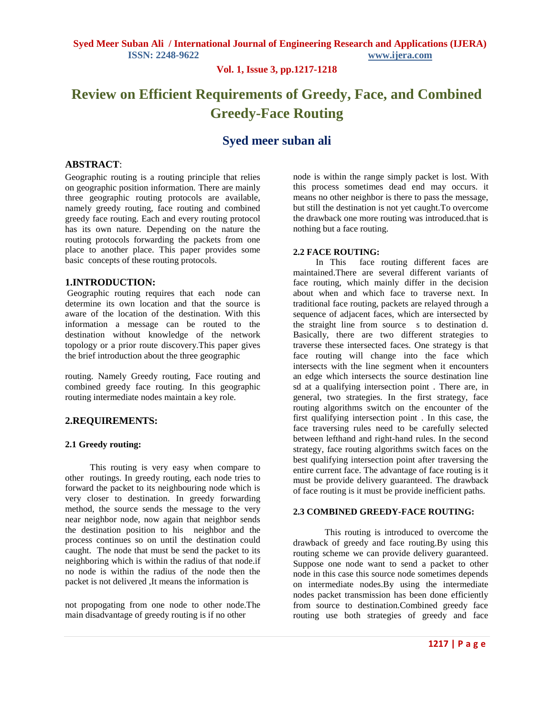**Vol. 1, Issue 3, pp.1217-1218**

# **Review on Efficient Requirements of Greedy, Face, and Combined Greedy-Face Routing**

# **Syed meer suban ali**

#### **ABSTRACT**:

Geographic routing is a routing principle that relies on geographic position information. There are mainly three geographic routing protocols are available, namely greedy routing, face routing and combined greedy face routing. Each and every routing protocol has its own nature. Depending on the nature the routing protocols forwarding the packets from one place to another place. This paper provides some basic concepts of these routing protocols.

## **1.INTRODUCTION:**

Geographic routing requires that each node can determine its own location and that the source is aware of the location of the destination. With this information a message can be routed to the destination without knowledge of the network topology or a prior route discovery.This paper gives the brief introduction about the three geographic

routing. Namely Greedy routing, Face routing and combined greedy face routing. In this geographic routing intermediate nodes maintain a key role.

## **2.REQUIREMENTS:**

#### **2.1 Greedy routing:**

 This routing is very easy when compare to other routings. In greedy routing, each node tries to forward the packet to its neighbouring node which is very closer to destination. In greedy forwarding method, the source sends the message to the very near neighbor node, now again that neighbor sends the destination position to his neighbor and the process continues so on until the destination could caught. The node that must be send the packet to its neighboring which is within the radius of that node.if no node is within the radius of the node then the packet is not delivered ,It means the information is

not propogating from one node to other node.The main disadvantage of greedy routing is if no other

node is within the range simply packet is lost. With this process sometimes dead end may occurs. it means no other neighbor is there to pass the message, but still the destination is not yet caught.To overcome the drawback one more routing was introduced.that is nothing but a face routing.

#### **2.2 FACE ROUTING:**

 In This face routing different faces are maintained.There are several different variants of face routing, which mainly differ in the decision about when and which face to traverse next. In traditional face routing, packets are relayed through a sequence of adjacent faces, which are intersected by the straight line from source s to destination d. Basically, there are two different strategies to traverse these intersected faces. One strategy is that face routing will change into the face which intersects with the line segment when it encounters an edge which intersects the source destination line sd at a qualifying intersection point . There are, in general, two strategies. In the first strategy, face routing algorithms switch on the encounter of the first qualifying intersection point . In this case, the face traversing rules need to be carefully selected between lefthand and right-hand rules. In the second strategy, face routing algorithms switch faces on the best qualifying intersection point after traversing the entire current face. The advantage of face routing is it must be provide delivery guaranteed. The drawback of face routing is it must be provide inefficient paths.

#### **2.3 COMBINED GREEDY-FACE ROUTING:**

 This routing is introduced to overcome the drawback of greedy and face routing.By using this routing scheme we can provide delivery guaranteed. Suppose one node want to send a packet to other node in this case this source node sometimes depends on intermediate nodes.By using the intermediate nodes packet transmission has been done efficiently from source to destination.Combined greedy face routing use both strategies of greedy and face